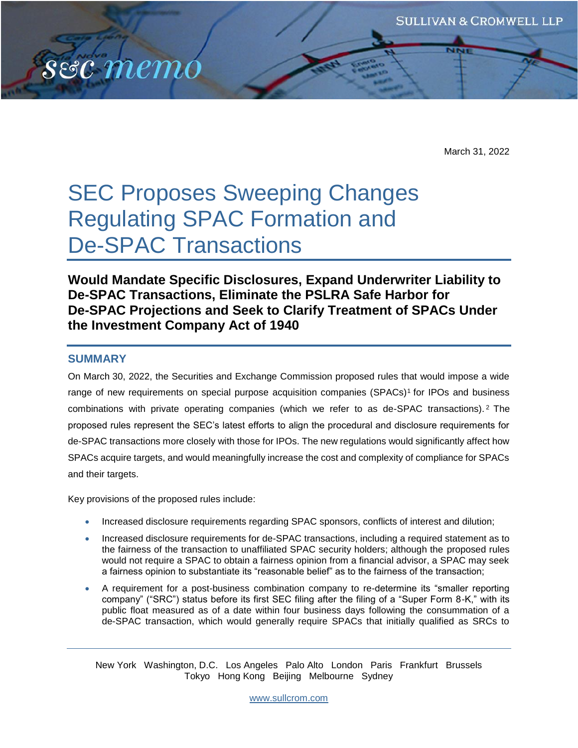March 31, 2022

# SEC Proposes Sweeping Changes Regulating SPAC Formation and De-SPAC Transactions

**Would Mandate Specific Disclosures, Expand Underwriter Liability to De-SPAC Transactions, Eliminate the PSLRA Safe Harbor for De-SPAC Projections and Seek to Clarify Treatment of SPACs Under the Investment Company Act of 1940**

## **SUMMARY**

sec memo

On March 30, 2022, the Securities and Exchange Commission proposed rules that would impose a wide range of new requirements on special purpose acquisition companies (SPACs)<sup>1</sup> for IPOs and business combinations with private operating companies (which we refer to as de-SPAC transactions). <sup>2</sup> The proposed rules represent the SEC's latest efforts to align the procedural and disclosure requirements for de-SPAC transactions more closely with those for IPOs. The new regulations would significantly affect how SPACs acquire targets, and would meaningfully increase the cost and complexity of compliance for SPACs and their targets.

Key provisions of the proposed rules include:

- Increased disclosure requirements regarding SPAC sponsors, conflicts of interest and dilution;
- Increased disclosure requirements for de-SPAC transactions, including a required statement as to the fairness of the transaction to unaffiliated SPAC security holders; although the proposed rules would not require a SPAC to obtain a fairness opinion from a financial advisor, a SPAC may seek a fairness opinion to substantiate its "reasonable belief" as to the fairness of the transaction;
- A requirement for a post-business combination company to re-determine its "smaller reporting company" ("SRC") status before its first SEC filing after the filing of a "Super Form 8-K," with its public float measured as of a date within four business days following the consummation of a de-SPAC transaction, which would generally require SPACs that initially qualified as SRCs to

New York Washington, D.C. Los Angeles Palo Alto London Paris Frankfurt Brussels Tokyo Hong Kong Beijing Melbourne Sydney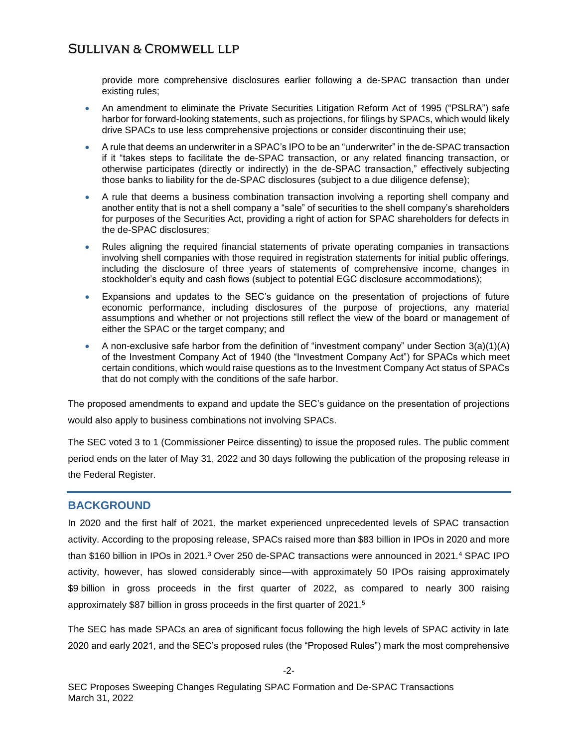provide more comprehensive disclosures earlier following a de-SPAC transaction than under existing rules;

- An amendment to eliminate the Private Securities Litigation Reform Act of 1995 ("PSLRA") safe harbor for forward-looking statements, such as projections, for filings by SPACs, which would likely drive SPACs to use less comprehensive projections or consider discontinuing their use;
- A rule that deems an underwriter in a SPAC's IPO to be an "underwriter" in the de-SPAC transaction if it "takes steps to facilitate the de-SPAC transaction, or any related financing transaction, or otherwise participates (directly or indirectly) in the de-SPAC transaction," effectively subjecting those banks to liability for the de-SPAC disclosures (subject to a due diligence defense);
- A rule that deems a business combination transaction involving a reporting shell company and another entity that is not a shell company a "sale" of securities to the shell company's shareholders for purposes of the Securities Act, providing a right of action for SPAC shareholders for defects in the de-SPAC disclosures;
- Rules aligning the required financial statements of private operating companies in transactions involving shell companies with those required in registration statements for initial public offerings, including the disclosure of three years of statements of comprehensive income, changes in stockholder's equity and cash flows (subject to potential EGC disclosure accommodations);
- Expansions and updates to the SEC's guidance on the presentation of projections of future economic performance, including disclosures of the purpose of projections, any material assumptions and whether or not projections still reflect the view of the board or management of either the SPAC or the target company; and
- A non-exclusive safe harbor from the definition of "investment company" under Section  $3(a)(1)(A)$ of the Investment Company Act of 1940 (the "Investment Company Act") for SPACs which meet certain conditions, which would raise questions as to the Investment Company Act status of SPACs that do not comply with the conditions of the safe harbor.

The proposed amendments to expand and update the SEC's guidance on the presentation of projections would also apply to business combinations not involving SPACs.

The SEC voted 3 to 1 (Commissioner Peirce dissenting) to issue the proposed rules. The public comment period ends on the later of May 31, 2022 and 30 days following the publication of the proposing release in the Federal Register.

## **BACKGROUND**

In 2020 and the first half of 2021, the market experienced unprecedented levels of SPAC transaction activity. According to the proposing release, SPACs raised more than \$83 billion in IPOs in 2020 and more than \$160 billion in IPOs in 2021.<sup>3</sup> Over 250 de-SPAC transactions were announced in 2021.<sup>4</sup> SPAC IPO activity, however, has slowed considerably since—with approximately 50 IPOs raising approximately \$9 billion in gross proceeds in the first quarter of 2022, as compared to nearly 300 raising approximately \$87 billion in gross proceeds in the first quarter of 2021.<sup>5</sup>

The SEC has made SPACs an area of significant focus following the high levels of SPAC activity in late 2020 and early 2021, and the SEC's proposed rules (the "Proposed Rules") mark the most comprehensive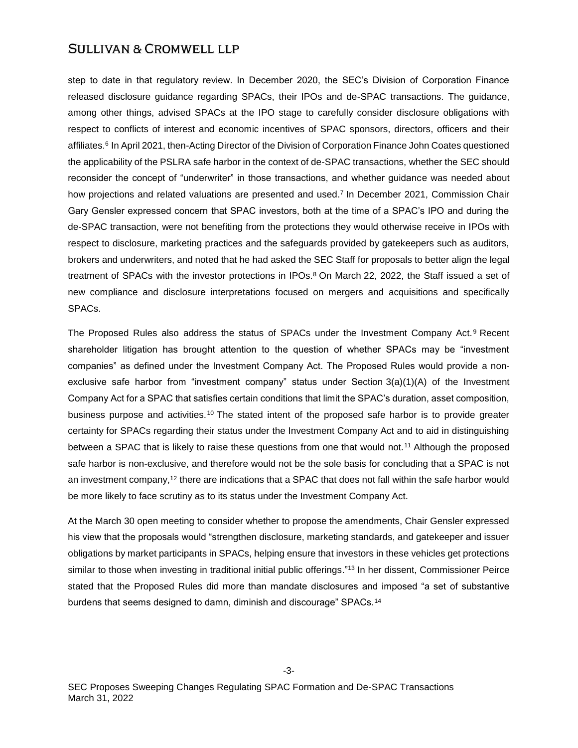step to date in that regulatory review. In December 2020, the SEC's Division of Corporation Finance released disclosure guidance regarding SPACs, their IPOs and de-SPAC transactions. The guidance, among other things, advised SPACs at the IPO stage to carefully consider disclosure obligations with respect to conflicts of interest and economic incentives of SPAC sponsors, directors, officers and their affiliates.<sup>6</sup> In April 2021, then-Acting Director of the Division of Corporation Finance John Coates questioned the applicability of the PSLRA safe harbor in the context of de-SPAC transactions, whether the SEC should reconsider the concept of "underwriter" in those transactions, and whether guidance was needed about how projections and related valuations are presented and used.<sup>7</sup> In December 2021, Commission Chair Gary Gensler expressed concern that SPAC investors, both at the time of a SPAC's IPO and during the de-SPAC transaction, were not benefiting from the protections they would otherwise receive in IPOs with respect to disclosure, marketing practices and the safeguards provided by gatekeepers such as auditors, brokers and underwriters, and noted that he had asked the SEC Staff for proposals to better align the legal treatment of SPACs with the investor protections in IPOs.<sup>8</sup> On March 22, 2022, the Staff issued a set of new compliance and disclosure interpretations focused on mergers and acquisitions and specifically SPACs.

The Proposed Rules also address the status of SPACs under the Investment Company Act.<sup>9</sup> Recent shareholder litigation has brought attention to the question of whether SPACs may be "investment companies" as defined under the Investment Company Act. The Proposed Rules would provide a nonexclusive safe harbor from "investment company" status under Section 3(a)(1)(A) of the Investment Company Act for a SPAC that satisfies certain conditions that limit the SPAC's duration, asset composition, business purpose and activities.<sup>10</sup> The stated intent of the proposed safe harbor is to provide greater certainty for SPACs regarding their status under the Investment Company Act and to aid in distinguishing between a SPAC that is likely to raise these questions from one that would not.<sup>11</sup> Although the proposed safe harbor is non-exclusive, and therefore would not be the sole basis for concluding that a SPAC is not an investment company,<sup>12</sup> there are indications that a SPAC that does not fall within the safe harbor would be more likely to face scrutiny as to its status under the Investment Company Act.

At the March 30 open meeting to consider whether to propose the amendments, Chair Gensler expressed his view that the proposals would "strengthen disclosure, marketing standards, and gatekeeper and issuer obligations by market participants in SPACs, helping ensure that investors in these vehicles get protections similar to those when investing in traditional initial public offerings."<sup>13</sup> In her dissent, Commissioner Peirce stated that the Proposed Rules did more than mandate disclosures and imposed "a set of substantive burdens that seems designed to damn, diminish and discourage" SPACs.<sup>14</sup>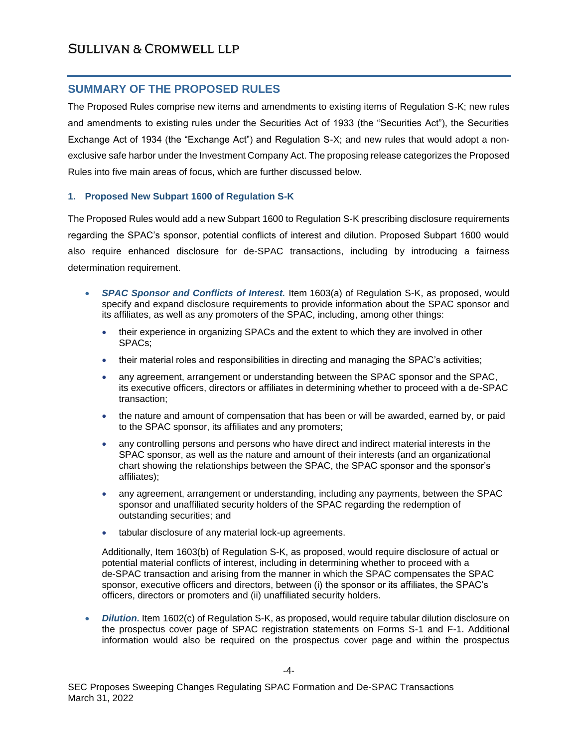# **SUMMARY OF THE PROPOSED RULES**

The Proposed Rules comprise new items and amendments to existing items of Regulation S-K; new rules and amendments to existing rules under the Securities Act of 1933 (the "Securities Act"), the Securities Exchange Act of 1934 (the "Exchange Act") and Regulation S-X; and new rules that would adopt a nonexclusive safe harbor under the Investment Company Act. The proposing release categorizes the Proposed Rules into five main areas of focus, which are further discussed below.

## **1. Proposed New Subpart 1600 of Regulation S-K**

The Proposed Rules would add a new Subpart 1600 to Regulation S-K prescribing disclosure requirements regarding the SPAC's sponsor, potential conflicts of interest and dilution. Proposed Subpart 1600 would also require enhanced disclosure for de-SPAC transactions, including by introducing a fairness determination requirement.

- *SPAC Sponsor and Conflicts of Interest.* Item 1603(a) of Regulation S-K, as proposed, would specify and expand disclosure requirements to provide information about the SPAC sponsor and its affiliates, as well as any promoters of the SPAC, including, among other things:
	- their experience in organizing SPACs and the extent to which they are involved in other SPACs;
	- their material roles and responsibilities in directing and managing the SPAC's activities;
	- any agreement, arrangement or understanding between the SPAC sponsor and the SPAC, its executive officers, directors or affiliates in determining whether to proceed with a de-SPAC transaction;
	- the nature and amount of compensation that has been or will be awarded, earned by, or paid to the SPAC sponsor, its affiliates and any promoters;
	- any controlling persons and persons who have direct and indirect material interests in the SPAC sponsor, as well as the nature and amount of their interests (and an organizational chart showing the relationships between the SPAC, the SPAC sponsor and the sponsor's affiliates);
	- any agreement, arrangement or understanding, including any payments, between the SPAC sponsor and unaffiliated security holders of the SPAC regarding the redemption of outstanding securities; and
	- tabular disclosure of any material lock-up agreements.

Additionally, Item 1603(b) of Regulation S-K, as proposed, would require disclosure of actual or potential material conflicts of interest, including in determining whether to proceed with a de-SPAC transaction and arising from the manner in which the SPAC compensates the SPAC sponsor, executive officers and directors, between (i) the sponsor or its affiliates, the SPAC's officers, directors or promoters and (ii) unaffiliated security holders.

 *Dilution.* Item 1602(c) of Regulation S-K, as proposed, would require tabular dilution disclosure on the prospectus cover page of SPAC registration statements on Forms S-1 and F-1. Additional information would also be required on the prospectus cover page and within the prospectus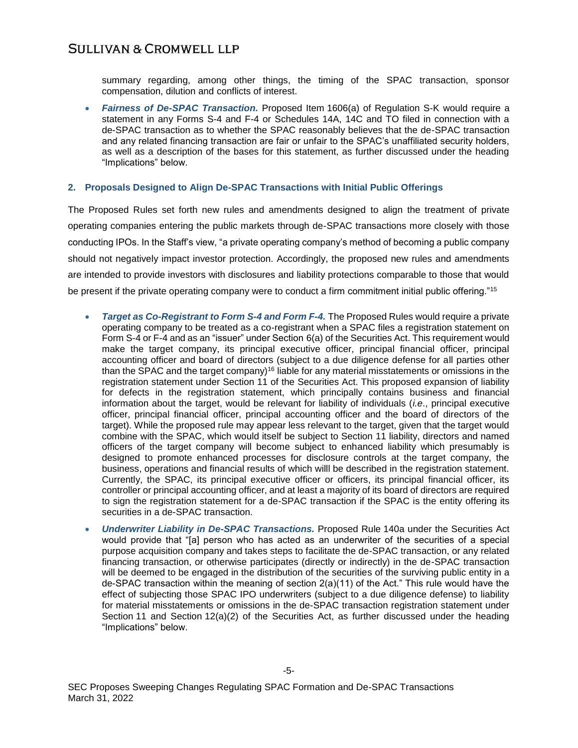summary regarding, among other things, the timing of the SPAC transaction, sponsor compensation, dilution and conflicts of interest.

 *Fairness of De-SPAC Transaction.* Proposed Item 1606(a) of Regulation S-K would require a statement in any Forms S-4 and F-4 or Schedules 14A, 14C and TO filed in connection with a de-SPAC transaction as to whether the SPAC reasonably believes that the de-SPAC transaction and any related financing transaction are fair or unfair to the SPAC's unaffiliated security holders, as well as a description of the bases for this statement, as further discussed under the heading "Implications" below.

## **2. Proposals Designed to Align De-SPAC Transactions with Initial Public Offerings**

The Proposed Rules set forth new rules and amendments designed to align the treatment of private operating companies entering the public markets through de-SPAC transactions more closely with those conducting IPOs. In the Staff's view, "a private operating company's method of becoming a public company should not negatively impact investor protection. Accordingly, the proposed new rules and amendments are intended to provide investors with disclosures and liability protections comparable to those that would be present if the private operating company were to conduct a firm commitment initial public offering."<sup>15</sup>

- *Target as Co-Registrant to Form S-4 and Form F-4.* The Proposed Rules would require a private operating company to be treated as a co-registrant when a SPAC files a registration statement on Form S-4 or F-4 and as an "issuer" under Section 6(a) of the Securities Act. This requirement would make the target company, its principal executive officer, principal financial officer, principal accounting officer and board of directors (subject to a due diligence defense for all parties other than the SPAC and the target company)<sup>16</sup> liable for any material misstatements or omissions in the registration statement under Section 11 of the Securities Act. This proposed expansion of liability for defects in the registration statement, which principally contains business and financial information about the target, would be relevant for liability of individuals (*i.e*., principal executive officer, principal financial officer, principal accounting officer and the board of directors of the target). While the proposed rule may appear less relevant to the target, given that the target would combine with the SPAC, which would itself be subject to Section 11 liability, directors and named officers of the target company will become subject to enhanced liability which presumably is designed to promote enhanced processes for disclosure controls at the target company, the business, operations and financial results of which willl be described in the registration statement. Currently, the SPAC, its principal executive officer or officers, its principal financial officer, its controller or principal accounting officer, and at least a majority of its board of directors are required to sign the registration statement for a de-SPAC transaction if the SPAC is the entity offering its securities in a de-SPAC transaction.
- *Underwriter Liability in De-SPAC Transactions.* Proposed Rule 140a under the Securities Act would provide that "[a] person who has acted as an underwriter of the securities of a special purpose acquisition company and takes steps to facilitate the de-SPAC transaction, or any related financing transaction, or otherwise participates (directly or indirectly) in the de-SPAC transaction will be deemed to be engaged in the distribution of the securities of the surviving public entity in a de-SPAC transaction within the meaning of section 2(a)(11) of the Act." This rule would have the effect of subjecting those SPAC IPO underwriters (subject to a due diligence defense) to liability for material misstatements or omissions in the de-SPAC transaction registration statement under Section 11 and Section 12(a)(2) of the Securities Act, as further discussed under the heading "Implications" below.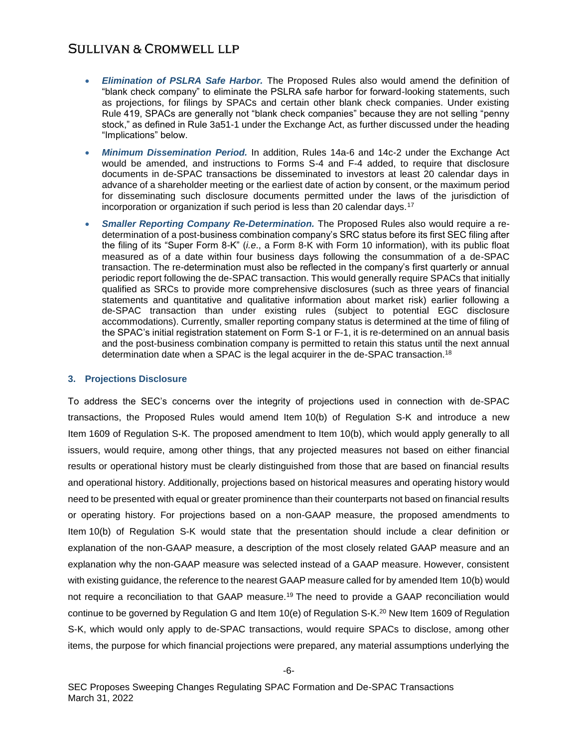- *Elimination of PSLRA Safe Harbor.* The Proposed Rules also would amend the definition of "blank check company" to eliminate the PSLRA safe harbor for forward-looking statements, such as projections, for filings by SPACs and certain other blank check companies. Under existing Rule 419, SPACs are generally not "blank check companies" because they are not selling "penny stock," as defined in Rule 3a51-1 under the Exchange Act, as further discussed under the heading "Implications" below.
- *Minimum Dissemination Period.* In addition, Rules 14a-6 and 14c-2 under the Exchange Act would be amended, and instructions to Forms S-4 and F-4 added, to require that disclosure documents in de-SPAC transactions be disseminated to investors at least 20 calendar days in advance of a shareholder meeting or the earliest date of action by consent, or the maximum period for disseminating such disclosure documents permitted under the laws of the jurisdiction of incorporation or organization if such period is less than 20 calendar days.<sup>17</sup>
- *Smaller Reporting Company Re-Determination.* The Proposed Rules also would require a redetermination of a post-business combination company's SRC status before its first SEC filing after the filing of its "Super Form 8-K" (*i.e*., a Form 8-K with Form 10 information), with its public float measured as of a date within four business days following the consummation of a de-SPAC transaction. The re-determination must also be reflected in the company's first quarterly or annual periodic report following the de-SPAC transaction. This would generally require SPACs that initially qualified as SRCs to provide more comprehensive disclosures (such as three years of financial statements and quantitative and qualitative information about market risk) earlier following a de-SPAC transaction than under existing rules (subject to potential EGC disclosure accommodations). Currently, smaller reporting company status is determined at the time of filing of the SPAC's initial registration statement on Form S-1 or F-1, it is re-determined on an annual basis and the post-business combination company is permitted to retain this status until the next annual determination date when a SPAC is the legal acquirer in the de-SPAC transaction.<sup>18</sup>

## **3. Projections Disclosure**

To address the SEC's concerns over the integrity of projections used in connection with de-SPAC transactions, the Proposed Rules would amend Item 10(b) of Regulation S-K and introduce a new Item 1609 of Regulation S-K. The proposed amendment to Item 10(b), which would apply generally to all issuers, would require, among other things, that any projected measures not based on either financial results or operational history must be clearly distinguished from those that are based on financial results and operational history. Additionally, projections based on historical measures and operating history would need to be presented with equal or greater prominence than their counterparts not based on financial results or operating history. For projections based on a non-GAAP measure, the proposed amendments to Item 10(b) of Regulation S-K would state that the presentation should include a clear definition or explanation of the non-GAAP measure, a description of the most closely related GAAP measure and an explanation why the non-GAAP measure was selected instead of a GAAP measure. However, consistent with existing guidance, the reference to the nearest GAAP measure called for by amended Item 10(b) would not require a reconciliation to that GAAP measure.<sup>19</sup> The need to provide a GAAP reconciliation would continue to be governed by Regulation G and Item 10(e) of Regulation S-K.<sup>20</sup> New Item 1609 of Regulation S-K, which would only apply to de-SPAC transactions, would require SPACs to disclose, among other items, the purpose for which financial projections were prepared, any material assumptions underlying the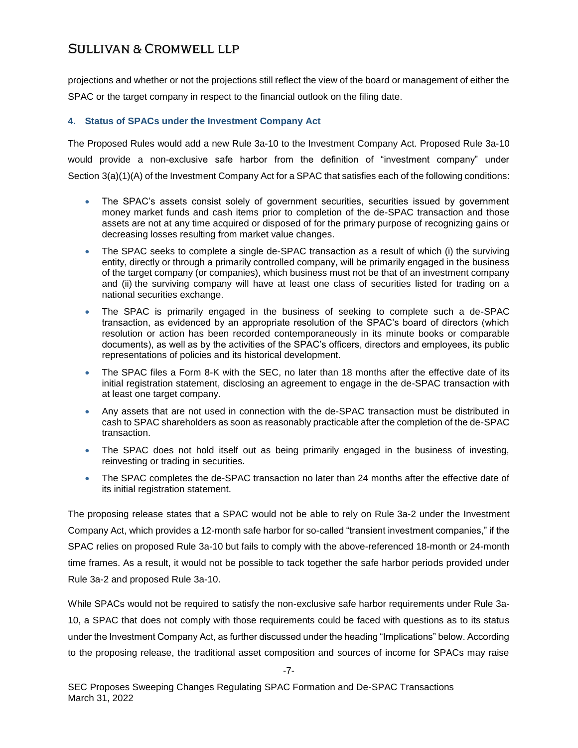projections and whether or not the projections still reflect the view of the board or management of either the SPAC or the target company in respect to the financial outlook on the filing date.

## **4. Status of SPACs under the Investment Company Act**

The Proposed Rules would add a new Rule 3a-10 to the Investment Company Act. Proposed Rule 3a-10 would provide a non-exclusive safe harbor from the definition of "investment company" under Section 3(a)(1)(A) of the Investment Company Act for a SPAC that satisfies each of the following conditions:

- The SPAC's assets consist solely of government securities, securities issued by government money market funds and cash items prior to completion of the de-SPAC transaction and those assets are not at any time acquired or disposed of for the primary purpose of recognizing gains or decreasing losses resulting from market value changes.
- The SPAC seeks to complete a single de-SPAC transaction as a result of which (i) the surviving entity, directly or through a primarily controlled company, will be primarily engaged in the business of the target company (or companies), which business must not be that of an investment company and (ii) the surviving company will have at least one class of securities listed for trading on a national securities exchange.
- The SPAC is primarily engaged in the business of seeking to complete such a de-SPAC transaction, as evidenced by an appropriate resolution of the SPAC's board of directors (which resolution or action has been recorded contemporaneously in its minute books or comparable documents), as well as by the activities of the SPAC's officers, directors and employees, its public representations of policies and its historical development.
- The SPAC files a Form 8-K with the SEC, no later than 18 months after the effective date of its initial registration statement, disclosing an agreement to engage in the de-SPAC transaction with at least one target company.
- Any assets that are not used in connection with the de-SPAC transaction must be distributed in cash to SPAC shareholders as soon as reasonably practicable after the completion of the de-SPAC transaction.
- The SPAC does not hold itself out as being primarily engaged in the business of investing, reinvesting or trading in securities.
- The SPAC completes the de-SPAC transaction no later than 24 months after the effective date of its initial registration statement.

The proposing release states that a SPAC would not be able to rely on Rule 3a-2 under the Investment Company Act, which provides a 12-month safe harbor for so-called "transient investment companies," if the SPAC relies on proposed Rule 3a-10 but fails to comply with the above-referenced 18-month or 24-month time frames. As a result, it would not be possible to tack together the safe harbor periods provided under Rule 3a-2 and proposed Rule 3a-10.

While SPACs would not be required to satisfy the non-exclusive safe harbor requirements under Rule 3a-10, a SPAC that does not comply with those requirements could be faced with questions as to its status under the Investment Company Act, as further discussed under the heading "Implications" below. According to the proposing release, the traditional asset composition and sources of income for SPACs may raise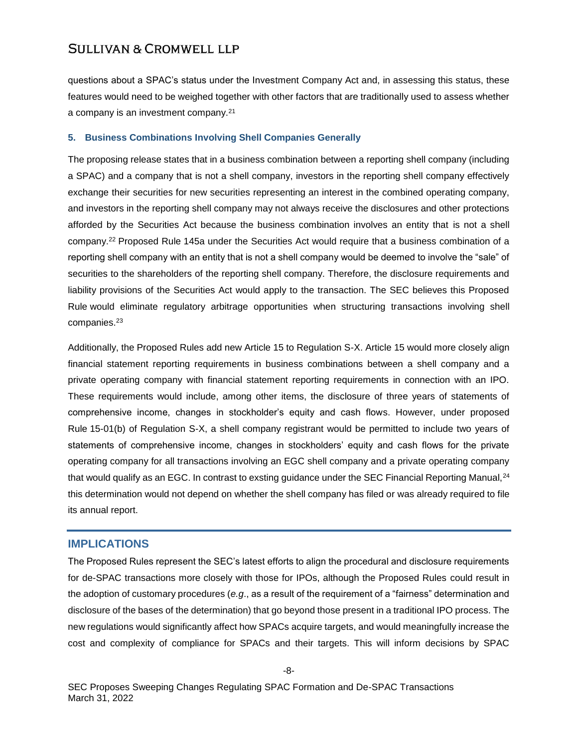questions about a SPAC's status under the Investment Company Act and, in assessing this status, these features would need to be weighed together with other factors that are traditionally used to assess whether a company is an investment company.<sup>21</sup>

#### **5. Business Combinations Involving Shell Companies Generally**

The proposing release states that in a business combination between a reporting shell company (including a SPAC) and a company that is not a shell company, investors in the reporting shell company effectively exchange their securities for new securities representing an interest in the combined operating company, and investors in the reporting shell company may not always receive the disclosures and other protections afforded by the Securities Act because the business combination involves an entity that is not a shell company.<sup>22</sup> Proposed Rule 145a under the Securities Act would require that a business combination of a reporting shell company with an entity that is not a shell company would be deemed to involve the "sale" of securities to the shareholders of the reporting shell company. Therefore, the disclosure requirements and liability provisions of the Securities Act would apply to the transaction. The SEC believes this Proposed Rule would eliminate regulatory arbitrage opportunities when structuring transactions involving shell companies.<sup>23</sup>

Additionally, the Proposed Rules add new Article 15 to Regulation S-X. Article 15 would more closely align financial statement reporting requirements in business combinations between a shell company and a private operating company with financial statement reporting requirements in connection with an IPO. These requirements would include, among other items, the disclosure of three years of statements of comprehensive income, changes in stockholder's equity and cash flows. However, under proposed Rule 15-01(b) of Regulation S-X, a shell company registrant would be permitted to include two years of statements of comprehensive income, changes in stockholders' equity and cash flows for the private operating company for all transactions involving an EGC shell company and a private operating company that would qualify as an EGC. In contrast to exsting guidance under the SEC Financial Reporting Manual,<sup>24</sup> this determination would not depend on whether the shell company has filed or was already required to file its annual report.

## **IMPLICATIONS**

The Proposed Rules represent the SEC's latest efforts to align the procedural and disclosure requirements for de-SPAC transactions more closely with those for IPOs, although the Proposed Rules could result in the adoption of customary procedures (*e.g*., as a result of the requirement of a "fairness" determination and disclosure of the bases of the determination) that go beyond those present in a traditional IPO process. The new regulations would significantly affect how SPACs acquire targets, and would meaningfully increase the cost and complexity of compliance for SPACs and their targets. This will inform decisions by SPAC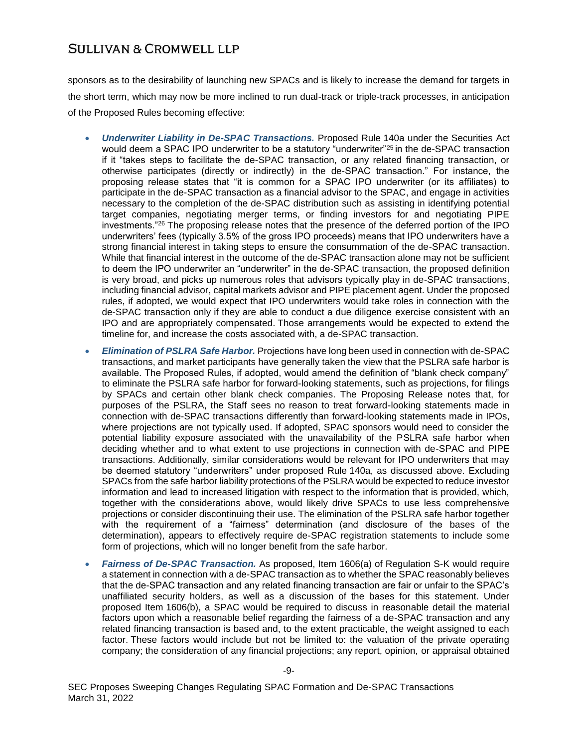sponsors as to the desirability of launching new SPACs and is likely to increase the demand for targets in the short term, which may now be more inclined to run dual-track or triple-track processes, in anticipation of the Proposed Rules becoming effective:

- *Underwriter Liability in De-SPAC Transactions.* Proposed Rule 140a under the Securities Act would deem a SPAC IPO underwriter to be a statutory "underwriter"<sup>25</sup> in the de-SPAC transaction if it "takes steps to facilitate the de-SPAC transaction, or any related financing transaction, or otherwise participates (directly or indirectly) in the de-SPAC transaction." For instance, the proposing release states that "it is common for a SPAC IPO underwriter (or its affiliates) to participate in the de-SPAC transaction as a financial advisor to the SPAC, and engage in activities necessary to the completion of the de-SPAC distribution such as assisting in identifying potential target companies, negotiating merger terms, or finding investors for and negotiating PIPE investments."<sup>26</sup> The proposing release notes that the presence of the deferred portion of the IPO underwriters' fees (typically 3.5% of the gross IPO proceeds) means that IPO underwriters have a strong financial interest in taking steps to ensure the consummation of the de-SPAC transaction. While that financial interest in the outcome of the de-SPAC transaction alone may not be sufficient to deem the IPO underwriter an "underwriter" in the de-SPAC transaction, the proposed definition is very broad, and picks up numerous roles that advisors typically play in de-SPAC transactions, including financial advisor, capital markets advisor and PIPE placement agent. Under the proposed rules, if adopted, we would expect that IPO underwriters would take roles in connection with the de-SPAC transaction only if they are able to conduct a due diligence exercise consistent with an IPO and are appropriately compensated. Those arrangements would be expected to extend the timeline for, and increase the costs associated with, a de-SPAC transaction.
- *Elimination of PSLRA Safe Harbor.* Projections have long been used in connection with de-SPAC transactions, and market participants have generally taken the view that the PSLRA safe harbor is available. The Proposed Rules, if adopted, would amend the definition of "blank check company" to eliminate the PSLRA safe harbor for forward-looking statements, such as projections, for filings by SPACs and certain other blank check companies. The Proposing Release notes that, for purposes of the PSLRA, the Staff sees no reason to treat forward-looking statements made in connection with de-SPAC transactions differently than forward-looking statements made in IPOs, where projections are not typically used. If adopted, SPAC sponsors would need to consider the potential liability exposure associated with the unavailability of the PSLRA safe harbor when deciding whether and to what extent to use projections in connection with de-SPAC and PIPE transactions. Additionally, similar considerations would be relevant for IPO underwriters that may be deemed statutory "underwriters" under proposed Rule 140a, as discussed above. Excluding SPACs from the safe harbor liability protections of the PSLRA would be expected to reduce investor information and lead to increased litigation with respect to the information that is provided, which, together with the considerations above, would likely drive SPACs to use less comprehensive projections or consider discontinuing their use. The elimination of the PSLRA safe harbor together with the requirement of a "fairness" determination (and disclosure of the bases of the determination), appears to effectively require de-SPAC registration statements to include some form of projections, which will no longer benefit from the safe harbor.
- *Fairness of De-SPAC Transaction.* As proposed, Item 1606(a) of Regulation S-K would require a statement in connection with a de-SPAC transaction as to whether the SPAC reasonably believes that the de-SPAC transaction and any related financing transaction are fair or unfair to the SPAC's unaffiliated security holders, as well as a discussion of the bases for this statement. Under proposed Item 1606(b), a SPAC would be required to discuss in reasonable detail the material factors upon which a reasonable belief regarding the fairness of a de-SPAC transaction and any related financing transaction is based and, to the extent practicable, the weight assigned to each factor. These factors would include but not be limited to: the valuation of the private operating company; the consideration of any financial projections; any report, opinion, or appraisal obtained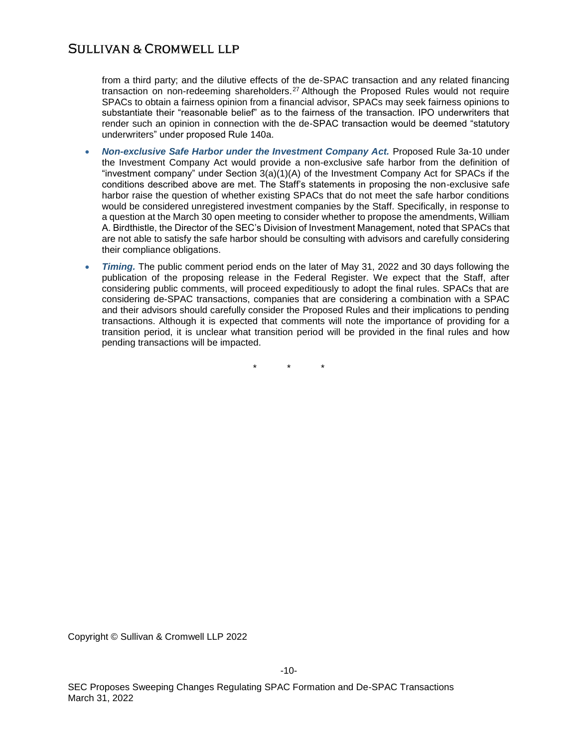from a third party; and the dilutive effects of the de-SPAC transaction and any related financing transaction on non-redeeming shareholders.<sup>27</sup> Although the Proposed Rules would not require SPACs to obtain a fairness opinion from a financial advisor, SPACs may seek fairness opinions to substantiate their "reasonable belief" as to the fairness of the transaction. IPO underwriters that render such an opinion in connection with the de-SPAC transaction would be deemed "statutory underwriters" under proposed Rule 140a.

- *Non-exclusive Safe Harbor under the Investment Company Act.* Proposed Rule 3a-10 under the Investment Company Act would provide a non-exclusive safe harbor from the definition of "investment company" under Section 3(a)(1)(A) of the Investment Company Act for SPACs if the conditions described above are met. The Staff's statements in proposing the non-exclusive safe harbor raise the question of whether existing SPACs that do not meet the safe harbor conditions would be considered unregistered investment companies by the Staff. Specifically, in response to a question at the March 30 open meeting to consider whether to propose the amendments, William A. Birdthistle, the Director of the SEC's Division of Investment Management, noted that SPACs that are not able to satisfy the safe harbor should be consulting with advisors and carefully considering their compliance obligations.
- *Timing.* The public comment period ends on the later of May 31, 2022 and 30 days following the publication of the proposing release in the Federal Register. We expect that the Staff, after considering public comments, will proceed expeditiously to adopt the final rules. SPACs that are considering de-SPAC transactions, companies that are considering a combination with a SPAC and their advisors should carefully consider the Proposed Rules and their implications to pending transactions. Although it is expected that comments will note the importance of providing for a transition period, it is unclear what transition period will be provided in the final rules and how pending transactions will be impacted.

 $\star$ 

Copyright © Sullivan & Cromwell LLP 2022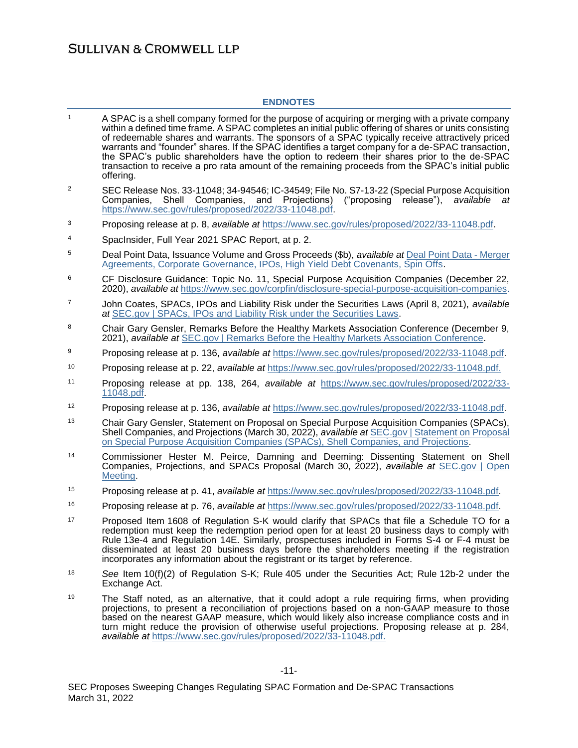### **ENDNOTES**

- <sup>1</sup> A SPAC is a shell company formed for the purpose of acquiring or merging with a private company within a defined time frame. A SPAC completes an initial public offering of shares or units consisting of redeemable shares and warrants. The sponsors of a SPAC typically receive attractively priced warrants and "founder" shares. If the SPAC identifies a target company for a de-SPAC transaction, the SPAC's public shareholders have the option to redeem their shares prior to the de-SPAC transaction to receive a pro rata amount of the remaining proceeds from the SPAC's initial public offering. <sup>2</sup> SEC Release Nos. 33-11048; 34-94546; IC-34549; File No. S7-13-22 (Special Purpose Acquisition Companies, Shell Companies, and Projections) ("proposing release"), *available at* [https://www.sec.gov/rules/proposed/2022/33-11048.pdf.](https://www.sec.gov/rules/proposed/2022/33-11048.pdf) <sup>3</sup> Proposing release at p. 8, *available at* [https://www.sec.gov/rules/proposed/2022/33-11048.pdf.](https://www.sec.gov/rules/proposed/2022/33-11048.pdf) <sup>4</sup> SpacInsider, Full Year 2021 SPAC Report, at p. 2. <sup>5</sup> Deal Point Data, Issuance Volume and Gross Proceeds (\$b), *available at* [Deal Point Data -](https://www.dealpointdata.com/rj?vb=Action.intras&app=ipo&id=q-1796323249) Merger [Agreements, Corporate Governance, IPOs, High Yield Debt Covenants, Spin Offs.](https://www.dealpointdata.com/rj?vb=Action.intras&app=ipo&id=q-1796323249) <sup>6</sup> CF Disclosure Guidance: Topic No. 11, Special Purpose Acquisition Companies (December 22, 2020), *available at* [https://www.sec.gov/corpfin/disclosure-special-purpose-acquisition-companies.](https://www.sec.gov/corpfin/disclosure-special-purpose-acquisition-companies) <sup>7</sup> John Coates, SPACs, IPOs and Liability Risk under the Securities Laws (April 8, 2021), *available at* [SEC.gov | SPACs, IPOs and Liability Risk under the Securities Laws.](https://www.sec.gov/news/public-statement/spacs-ipos-liability-risk-under-securities-laws) 8 Chair Gary Gensler, Remarks Before the Healthy Markets Association Conference (December 9, 2021), *available at* [SEC.gov | Remarks Before the Healthy Markets Association Conference.](https://www.sec.gov/news/speech/gensler-healthy-markets-association-conference-120921) <sup>9</sup> Proposing release at p. 136, *available at* [https://www.sec.gov/rules/proposed/2022/33-11048.pdf.](https://www.sec.gov/rules/proposed/2022/33-11048.pdf) <sup>10</sup> Proposing release at p. 22, *available at* [https://www.sec.gov/rules/proposed/2022/33-11048.pdf.](https://www.sec.gov/rules/proposed/2022/33-11048.pdf) <sup>11</sup> Proposing release at pp. 138, 264, *available at* [https://www.sec.gov/rules/proposed/2022/33-](https://www.sec.gov/rules/proposed/2022/33-11048.pdf) [11048.pdf.](https://www.sec.gov/rules/proposed/2022/33-11048.pdf) <sup>12</sup> Proposing release at p. 136, *available at* [https://www.sec.gov/rules/proposed/2022/33-11048.pdf.](https://www.sec.gov/rules/proposed/2022/33-11048.pdf) <sup>13</sup> Chair Gary Gensler, Statement on Proposal on Special Purpose Acquisition Companies (SPACs), Shell Companies, and Projections (March 30, 2022), *available at* [SEC.gov | Statement on Proposal](https://www.sec.gov/news/statement/gensler-spac-20220330)  [on Special Purpose Acquisition Companies \(SPACs\), Shell Companies, and Projections.](https://www.sec.gov/news/statement/gensler-spac-20220330) <sup>14</sup> Commissioner Hester M. Peirce, Damning and Deeming: Dissenting Statement on Shell Companies, Projections, and SPACs Proposal (March 30, 2022), *available at* [SEC.gov | Open](https://www.sec.gov/news/upcoming-events/open-meeting-033022)  [Meeting.](https://www.sec.gov/news/upcoming-events/open-meeting-033022) <sup>15</sup> Proposing release at p. 41, *available at* [https://www.sec.gov/rules/proposed/2022/33-11048.pdf.](https://www.sec.gov/rules/proposed/2022/33-11048.pdf) <sup>16</sup> Proposing release at p. 76, *available at* [https://www.sec.gov/rules/proposed/2022/33-11048.pdf.](https://www.sec.gov/rules/proposed/2022/33-11048.pdf) <sup>17</sup> Proposed Item 1608 of Regulation S-K would clarify that SPACs that file a Schedule TO for a redemption must keep the redemption period open for at least 20 business days to comply with Rule 13e-4 and Regulation 14E. Similarly, prospectuses included in Forms S-4 or F-4 must be disseminated at least 20 business days before the shareholders meeting if the registration
- <sup>18</sup> *See* Item 10(f)(2) of Regulation S-K; Rule 405 under the Securities Act; Rule 12b-2 under the Exchange Act.
- <sup>19</sup> The Staff noted, as an alternative, that it could adopt a rule requiring firms, when providing projections, to present a reconciliation of projections based on a non-GAAP measure to those based on the nearest GAAP measure, which would likely also increase compliance costs and in turn might reduce the provision of otherwise useful projections. Proposing release at p. 284, *available at* [https://www.sec.gov/rules/proposed/2022/33-11048.pdf.](https://www.sec.gov/rules/proposed/2022/33-11048.pdf)

incorporates any information about the registrant or its target by reference.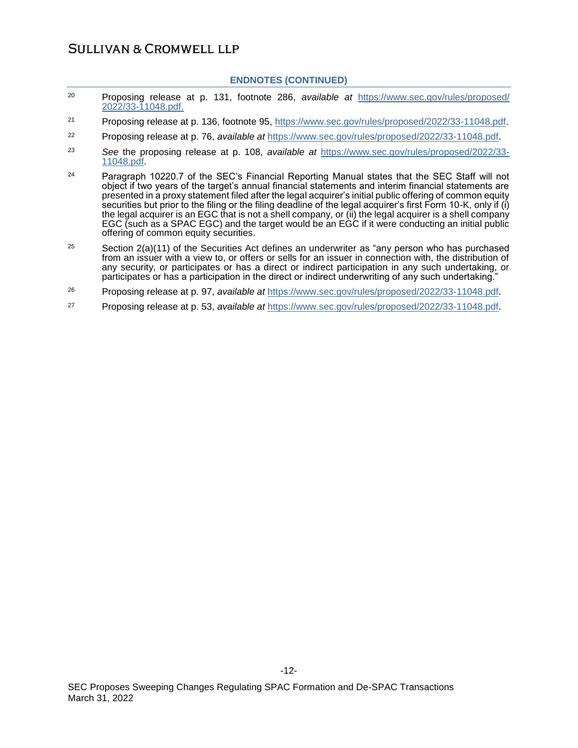#### **ENDNOTES (CONTINUED)**

- <sup>20</sup> Proposing release at p. 131, footnote 286, *available at* [https://www.sec.gov/rules/proposed/](https://www.sec.gov/rules/proposed/2022/33-11048.pdf) [2022/33-11048.pdf.](https://www.sec.gov/rules/proposed/2022/33-11048.pdf)
- <sup>21</sup> Proposing release at p. 136, footnote 95, [https://www.sec.gov/rules/proposed/2022/33-11048.pdf.](https://www.sec.gov/rules/proposed/2022/33-11048.pdf)
- <sup>22</sup> Proposing release at p. 76, *available at* [https://www.sec.gov/rules/proposed/2022/33-11048.pdf.](https://www.sec.gov/rules/proposed/2022/33-11048.pdf)
- <sup>23</sup> *See* the proposing release at p. 108, *available at* [https://www.sec.gov/rules/proposed/2022/33-](https://www.sec.gov/rules/proposed/2022/33-11048.pdf) [11048.pdf.](https://www.sec.gov/rules/proposed/2022/33-11048.pdf)
- <sup>24</sup> Paragraph 10220.7 of the SEC's Financial Reporting Manual states that the SEC Staff will not object if two years of the target's annual financial statements and interim financial statements are presented in a proxy statement filed after the legal acquirer's initial public offering of common equity securities but prior to the filing or the filing deadline of the legal acquirer's first Form 10-K, only if (i) the legal acquirer is an EGC that is not a shell company, or (ii) the legal acquirer is a shell company EGC (such as a SPAC EGC) and the target would be an EGC if it were conducting an initial public offering of common equity securities.
- <sup>25</sup> Section 2(a)(11) of the Securities Act defines an underwriter as "any person who has purchased from an issuer with a view to, or offers or sells for an issuer in connection with, the distribution of any security, or participates or has a direct or indirect participation in any such undertaking, or participates or has a participation in the direct or indirect underwriting of any such undertaking."
- <sup>26</sup> Proposing release at p. 97, *available at* [https://www.sec.gov/rules/proposed/2022/33-11048.pdf.](https://www.sec.gov/rules/proposed/2022/33-11048.pdf)
- <sup>27</sup> Proposing release at p. 53, *available at* [https://www.sec.gov/rules/proposed/2022/33-11048.pdf.](https://www.sec.gov/rules/proposed/2022/33-11048.pdf)